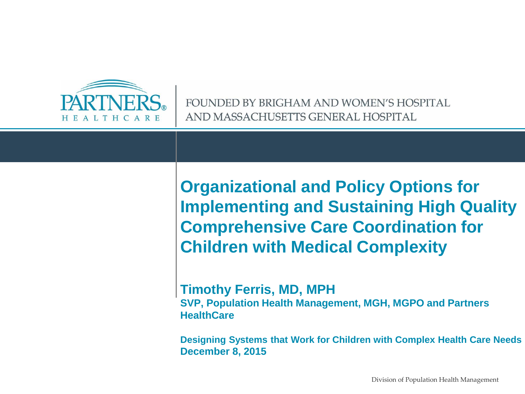

FOUNDED BY BRIGHAM AND WOMEN'S HOSPITAL AND MASSACHUSETTS GENERAL HOSPITAL

**Organizational and Policy Options for Implementing and Sustaining High Quality Comprehensive Care Coordination for Children with Medical Complexity** 

**Timothy Ferris, MD, MPH SVP, Population Health Management, MGH, MGPO and Partners HealthCare**

**Designing Systems that Work for Children with Complex Health Care Needs December 8, 2015**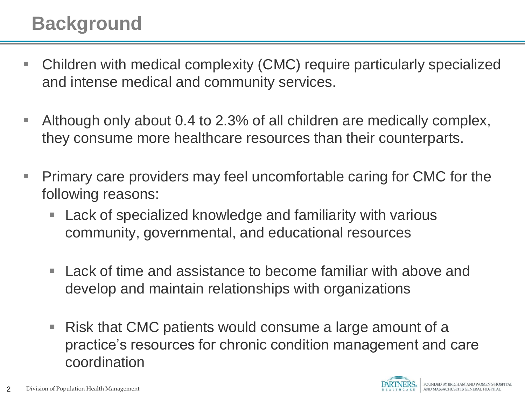## **Background**

- Children with medical complexity (CMC) require particularly specialized and intense medical and community services.
- Although only about 0.4 to 2.3% of all children are medically complex, they consume more healthcare resources than their counterparts.
- **Primary care providers may feel uncomfortable caring for CMC for the** following reasons:
	- Lack of specialized knowledge and familiarity with various community, governmental, and educational resources
	- Lack of time and assistance to become familiar with above and develop and maintain relationships with organizations
	- Risk that CMC patients would consume a large amount of a practice's resources for chronic condition management and care coordination

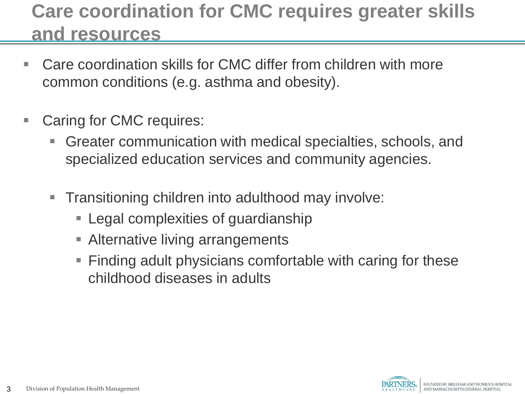## **Care coordination for CMC requires greater skills and resources**

- Care coordination skills for CMC differ from children with more common conditions (e.g. asthma and obesity).
- **Caring for CMC requires:** 
	- Greater communication with medical specialties, schools, and specialized education services and community agencies.
	- Transitioning children into adulthood may involve:
		- **Examplexities of guardianship**
		- **EXTERGHTM** Alternative living arrangements
		- Finding adult physicians comfortable with caring for these childhood diseases in adults

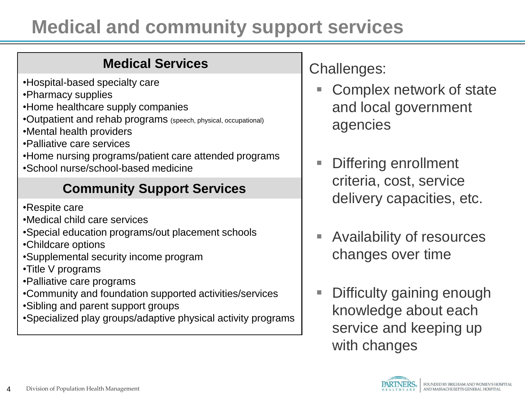# **Medical and community support services**

#### **Medical Services**

- •Hospital-based specialty care
- •Pharmacy supplies
- •Home healthcare supply companies
- •Outpatient and rehab programs (speech, physical, occupational)
- •Mental health providers
- •Palliative care services
- •Home nursing programs/patient care attended programs
- •School nurse/school-based medicine

### **Community Support Services**

- •Respite care
- •Medical child care services
- •Special education programs/out placement schools
- •Childcare options
- •Supplemental security income program
- •Title V programs
- •Palliative care programs
- •Community and foundation supported activities/services
- •Sibling and parent support groups
- •Specialized play groups/adaptive physical activity programs

Challenges:

- Complex network of state and local government agencies
- Differing enrollment criteria, cost, service delivery capacities, etc.
- Availability of resources changes over time
- **Difficulty gaining enough** knowledge about each service and keeping up with changes

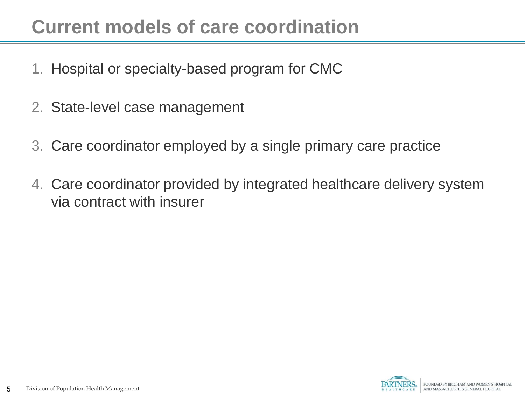## **Current models of care coordination**

- 1. Hospital or specialty-based program for CMC
- 2. State-level case management
- 3. Care coordinator employed by a single primary care practice
- 4. Care coordinator provided by integrated healthcare delivery system via contract with insurer

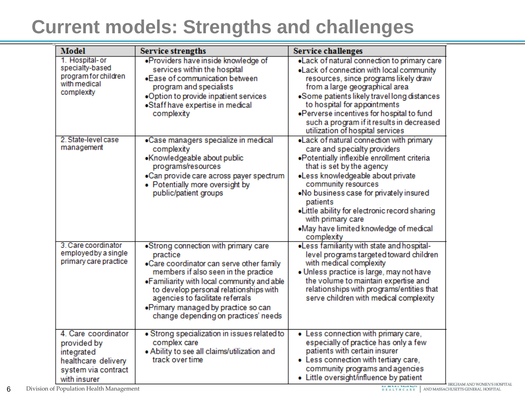## **Current models: Strengths and challenges**

| <b>Model</b>                                                                                                   | <b>Service strengths</b>                                                                                                                                                                                                                                                                                                                          | <b>Service challenges</b>                                                                                                                                                                                                                                                                                                                                                                               |
|----------------------------------------------------------------------------------------------------------------|---------------------------------------------------------------------------------------------------------------------------------------------------------------------------------------------------------------------------------------------------------------------------------------------------------------------------------------------------|---------------------------------------------------------------------------------------------------------------------------------------------------------------------------------------------------------------------------------------------------------------------------------------------------------------------------------------------------------------------------------------------------------|
| 1. Hospital-or<br>specialty-based<br>program for children<br>with medical<br>complexity                        | .Providers have inside knowledge of<br>services within the hospital<br>•Ease of communication between<br>program and specialists<br>.Option to provide inpatient services<br>•Staff have expertise in medical<br>complexity                                                                                                                       | . Lack of natural connection to primary care<br>. Lack of connection with local community<br>resources, since programs likely draw<br>from a large geographical area<br>•Some patients likely travel long distances<br>to hospital for appointments<br>. Perverse incentives for hospital to fund<br>such a program if it results in decreased<br>utilization of hospital services                      |
| 2. State-level case<br>management                                                                              | •Case managers specialize in medical<br>complexity<br>•Knowledgeable about public<br>programs/resources<br>•Can provide care across payer spectrum<br>• Potentially more oversight by<br>public/patient groups                                                                                                                                    | . Lack of natural connection with primary<br>care and specialty providers<br>•Potentially inflexible enrollment criteria<br>that is set by the agency<br>·Less knowledgeable about private<br>community resources<br>.No business case for privately insured<br>patients<br>. Little ability for electronic record sharing<br>with primary care<br>.May have limited knowledge of medical<br>complexity |
| 3. Care coordinator<br>employed by a single<br>primary care practice                                           | •Strong connection with primary care<br>practice<br>.Care coordinator can serve other family<br>members if also seen in the practice<br>. Familiarity with local community and able<br>to develop personal relationships with<br>agencies to facilitate referrals<br>. Primary managed by practice so can<br>change depending on practices' needs | .Less familiarity with state and hospital-<br>level programs targeted toward children<br>with medical complexity<br>. Unless practice is large, may not have<br>the volume to maintain expertise and<br>relationships with programs/entities that<br>serve children with medical complexity                                                                                                             |
| 4. Care coordinator<br>provided by<br>integrated<br>healthcare delivery<br>system via contract<br>with insurer | · Strong specialization in issues related to<br>complex care<br>. Ability to see all claims/utilization and<br>track over time                                                                                                                                                                                                                    | • Less connection with primary care,<br>especially of practice has only a few<br>patients with certain insurer<br>• Less connection with tertiary care,<br>community programs and agencies<br>• Little oversight/influence by patient                                                                                                                                                                   |

Division of Population Health Management 6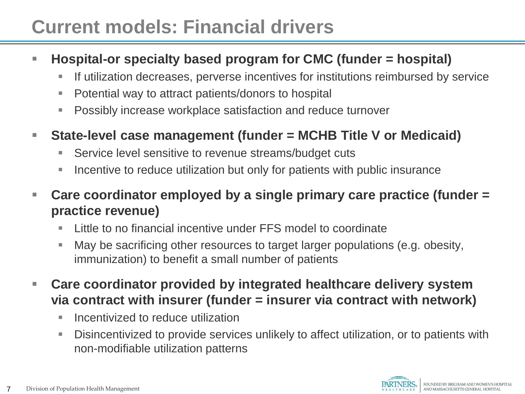## **Current models: Financial drivers**

#### **Hospital-or specialty based program for CMC (funder = hospital)**

- **If utilization decreases, perverse incentives for institutions reimbursed by service**
- Potential way to attract patients/donors to hospital
- Possibly increase workplace satisfaction and reduce turnover
- **State-level case management (funder = MCHB Title V or Medicaid)**
	- Service level sensitive to revenue streams/budget cuts
	- **Incentive to reduce utilization but only for patients with public insurance**
- **Care coordinator employed by a single primary care practice (funder = practice revenue)**
	- Little to no financial incentive under FFS model to coordinate
	- May be sacrificing other resources to target larger populations (e.g. obesity, immunization) to benefit a small number of patients
- **Care coordinator provided by integrated healthcare delivery system via contract with insurer (funder = insurer via contract with network)**
	- $\blacksquare$  Incentivized to reduce utilization
	- Disincentivized to provide services unlikely to affect utilization, or to patients with non-modifiable utilization patterns

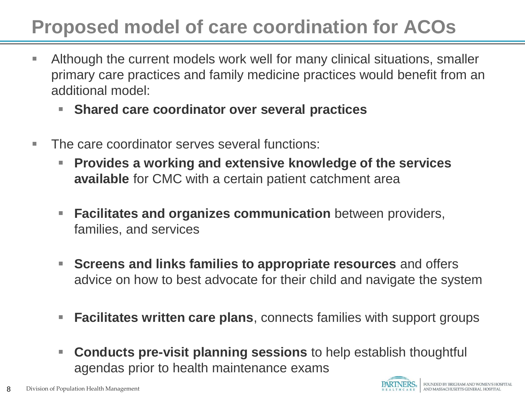# **Proposed model of care coordination for ACOs**

- Although the current models work well for many clinical situations, smaller primary care practices and family medicine practices would benefit from an additional model:
	- **Shared care coordinator over several practices**
- The care coordinator serves several functions:
	- **Provides a working and extensive knowledge of the services available** for CMC with a certain patient catchment area
	- **Facilitates and organizes communication** between providers, families, and services
	- **Screens and links families to appropriate resources** and offers advice on how to best advocate for their child and navigate the system
	- **Facilitates written care plans**, connects families with support groups
	- **Conducts pre-visit planning sessions** to help establish thoughtful agendas prior to health maintenance exams

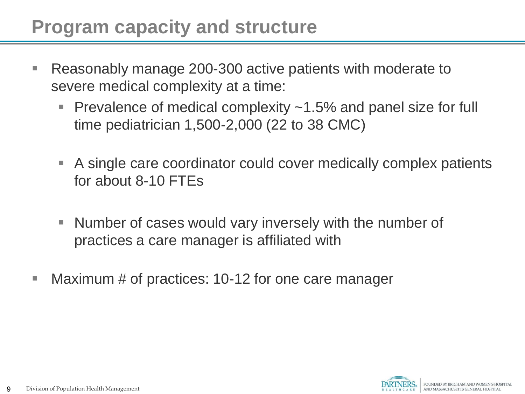## **Program capacity and structure**

- Reasonably manage 200-300 active patients with moderate to severe medical complexity at a time:
	- Prevalence of medical complexity  $\sim$  1.5% and panel size for full time pediatrician 1,500-2,000 (22 to 38 CMC)
	- A single care coordinator could cover medically complex patients for about 8-10 FTEs
	- Number of cases would vary inversely with the number of practices a care manager is affiliated with
- **Maximum # of practices: 10-12 for one care manager**

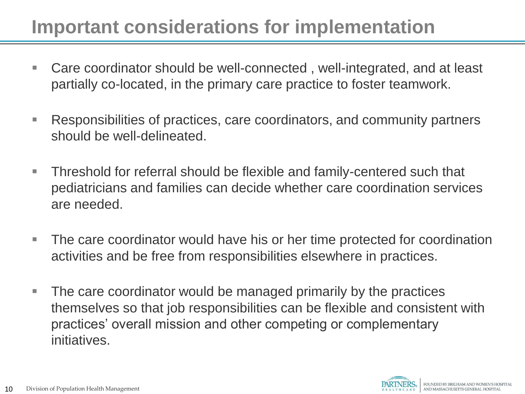## **Important considerations for implementation**

- Care coordinator should be well-connected, well-integrated, and at least partially co-located, in the primary care practice to foster teamwork.
- Responsibilities of practices, care coordinators, and community partners should be well-delineated.
- **Threshold for referral should be flexible and family-centered such that** pediatricians and families can decide whether care coordination services are needed.
- The care coordinator would have his or her time protected for coordination activities and be free from responsibilities elsewhere in practices.
- The care coordinator would be managed primarily by the practices themselves so that job responsibilities can be flexible and consistent with practices' overall mission and other competing or complementary initiatives.

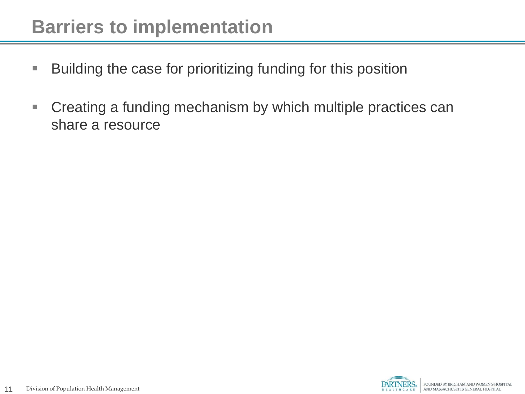### **Barriers to implementation**

- **Building the case for prioritizing funding for this position**
- Creating a funding mechanism by which multiple practices can share a resource

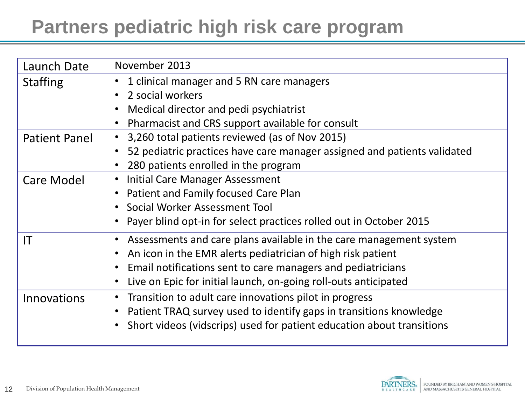## **Partners pediatric high risk care program**

| Launch Date          | November 2013                                                            |  |
|----------------------|--------------------------------------------------------------------------|--|
| <b>Staffing</b>      | 1 clinical manager and 5 RN care managers                                |  |
|                      | 2 social workers                                                         |  |
|                      | Medical director and pedi psychiatrist                                   |  |
|                      | Pharmacist and CRS support available for consult                         |  |
| <b>Patient Panel</b> | 3,260 total patients reviewed (as of Nov 2015)<br>$\bullet$              |  |
|                      | 52 pediatric practices have care manager assigned and patients validated |  |
|                      | 280 patients enrolled in the program                                     |  |
| Care Model           | Initial Care Manager Assessment<br>$\bullet$                             |  |
|                      | Patient and Family focused Care Plan                                     |  |
|                      | Social Worker Assessment Tool                                            |  |
|                      | Payer blind opt-in for select practices rolled out in October 2015       |  |
| IT                   | • Assessments and care plans available in the care management system     |  |
|                      | An icon in the EMR alerts pediatrician of high risk patient              |  |
|                      | Email notifications sent to care managers and pediatricians              |  |
|                      | Live on Epic for initial launch, on-going roll-outs anticipated          |  |
| Innovations          | Transition to adult care innovations pilot in progress                   |  |
|                      | Patient TRAQ survey used to identify gaps in transitions knowledge       |  |
|                      | Short videos (vidscrips) used for patient education about transitions    |  |

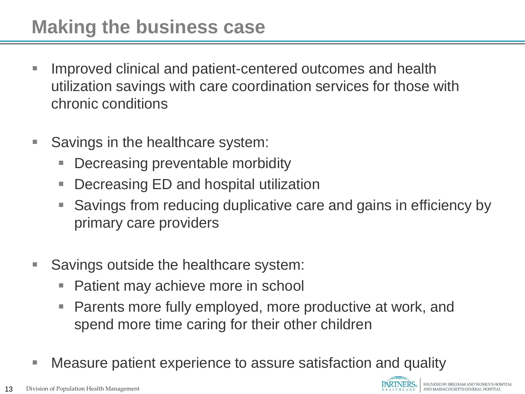- Improved clinical and patient-centered outcomes and health utilization savings with care coordination services for those with chronic conditions
- Savings in the healthcare system:
	- **Decreasing preventable morbidity**
	- Decreasing ED and hospital utilization
	- Savings from reducing duplicative care and gains in efficiency by primary care providers
- Savings outside the healthcare system:
	- Patient may achieve more in school
	- Parents more fully employed, more productive at work, and spend more time caring for their other children
- Measure patient experience to assure satisfaction and quality

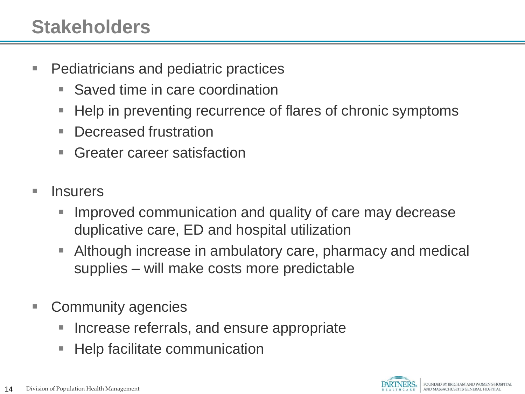## **Stakeholders**

- **Pediatricians and pediatric practices** 
	- Saved time in care coordination
	- **Help in preventing recurrence of flares of chronic symptoms**
	- Decreased frustration
	- Greater career satisfaction
- **Insurers** 
	- Improved communication and quality of care may decrease duplicative care, ED and hospital utilization
	- Although increase in ambulatory care, pharmacy and medical supplies – will make costs more predictable
- Community agencies
	- **Increase referrals, and ensure appropriate**
	- Help facilitate communication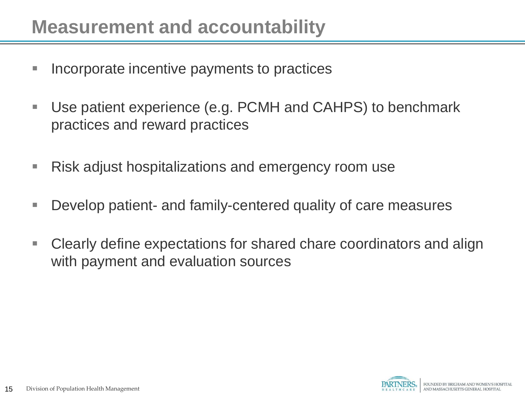### **Measurement and accountability**

- **Incorporate incentive payments to practices**
- Use patient experience (e.g. PCMH and CAHPS) to benchmark practices and reward practices
- **Risk adjust hospitalizations and emergency room use**
- Develop patient- and family-centered quality of care measures
- Clearly define expectations for shared chare coordinators and align with payment and evaluation sources